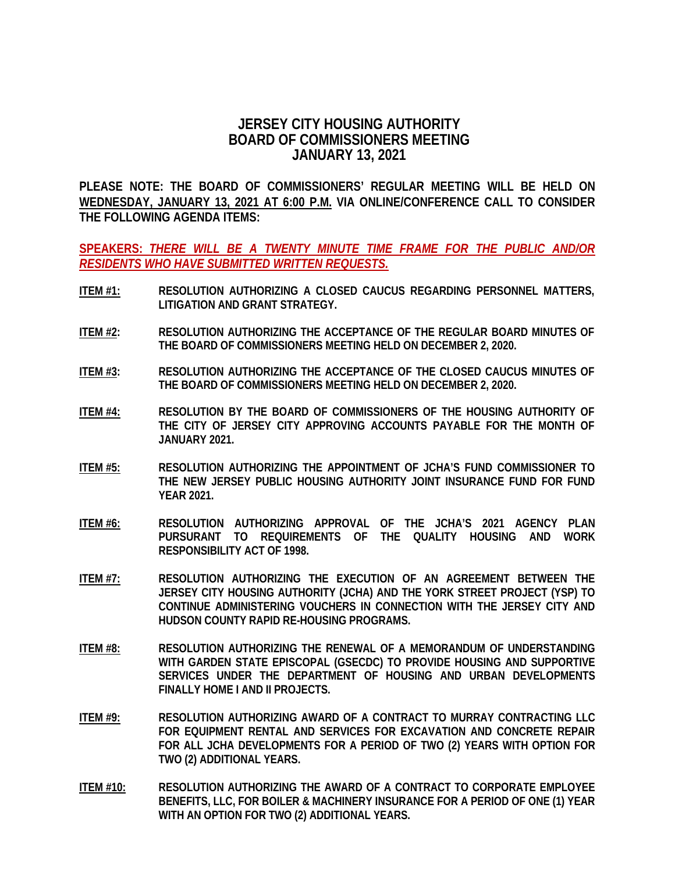## **JERSEY CITY HOUSING AUTHORITY BOARD OF COMMISSIONERS MEETING JANUARY 13, 2021**

**PLEASE NOTE: THE BOARD OF COMMISSIONERS' REGULAR MEETING WILL BE HELD ON WEDNESDAY, JANUARY 13, 2021 AT 6:00 P.M. VIA ONLINE/CONFERENCE CALL TO CONSIDER THE FOLLOWING AGENDA ITEMS:**

**SPEAKERS:** *THERE WILL BE A TWENTY MINUTE TIME FRAME FOR THE PUBLIC AND/OR RESIDENTS WHO HAVE SUBMITTED WRITTEN REQUESTS.*

- **ITEM #1: RESOLUTION AUTHORIZING A CLOSED CAUCUS REGARDING PERSONNEL MATTERS, LITIGATION AND GRANT STRATEGY.**
- **ITEM #2: RESOLUTION AUTHORIZING THE ACCEPTANCE OF THE REGULAR BOARD MINUTES OF THE BOARD OF COMMISSIONERS MEETING HELD ON DECEMBER 2, 2020.**
- **ITEM #3: RESOLUTION AUTHORIZING THE ACCEPTANCE OF THE CLOSED CAUCUS MINUTES OF THE BOARD OF COMMISSIONERS MEETING HELD ON DECEMBER 2, 2020.**
- **ITEM #4: RESOLUTION BY THE BOARD OF COMMISSIONERS OF THE HOUSING AUTHORITY OF THE CITY OF JERSEY CITY APPROVING ACCOUNTS PAYABLE FOR THE MONTH OF JANUARY 2021.**
- **ITEM #5: RESOLUTION AUTHORIZING THE APPOINTMENT OF JCHA'S FUND COMMISSIONER TO THE NEW JERSEY PUBLIC HOUSING AUTHORITY JOINT INSURANCE FUND FOR FUND YEAR 2021.**
- **ITEM #6: RESOLUTION AUTHORIZING APPROVAL OF THE JCHA'S 2021 AGENCY PLAN PURSURANT TO REQUIREMENTS OF THE QUALITY HOUSING AND WORK RESPONSIBILITY ACT OF 1998.**
- **ITEM #7: RESOLUTION AUTHORIZING THE EXECUTION OF AN AGREEMENT BETWEEN THE JERSEY CITY HOUSING AUTHORITY (JCHA) AND THE YORK STREET PROJECT (YSP) TO CONTINUE ADMINISTERING VOUCHERS IN CONNECTION WITH THE JERSEY CITY AND HUDSON COUNTY RAPID RE-HOUSING PROGRAMS.**
- **ITEM #8: RESOLUTION AUTHORIZING THE RENEWAL OF A MEMORANDUM OF UNDERSTANDING WITH GARDEN STATE EPISCOPAL (GSECDC) TO PROVIDE HOUSING AND SUPPORTIVE SERVICES UNDER THE DEPARTMENT OF HOUSING AND URBAN DEVELOPMENTS FINALLY HOME I AND II PROJECTS.**
- **ITEM #9: RESOLUTION AUTHORIZING AWARD OF A CONTRACT TO MURRAY CONTRACTING LLC FOR EQUIPMENT RENTAL AND SERVICES FOR EXCAVATION AND CONCRETE REPAIR FOR ALL JCHA DEVELOPMENTS FOR A PERIOD OF TWO (2) YEARS WITH OPTION FOR TWO (2) ADDITIONAL YEARS.**
- **ITEM #10: RESOLUTION AUTHORIZING THE AWARD OF A CONTRACT TO CORPORATE EMPLOYEE BENEFITS, LLC, FOR BOILER & MACHINERY INSURANCE FOR A PERIOD OF ONE (1) YEAR WITH AN OPTION FOR TWO (2) ADDITIONAL YEARS.**